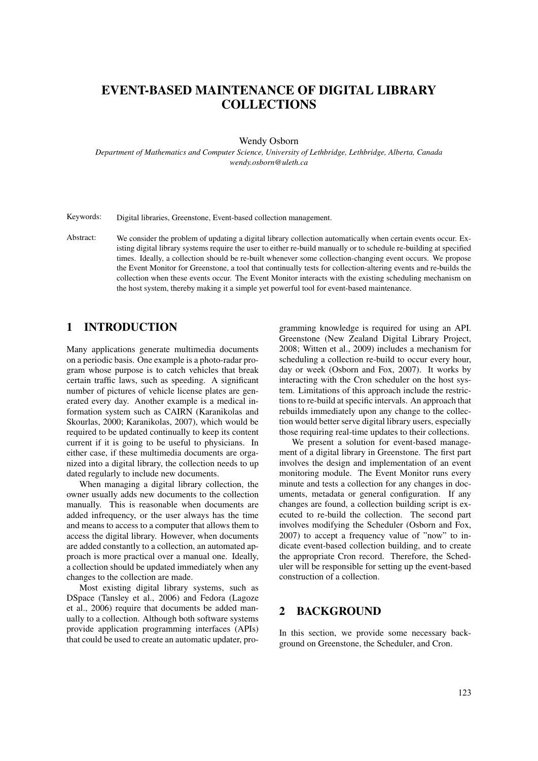# EVENT-BASED MAINTENANCE OF DIGITAL LIBRARY COLLECTIONS

Wendy Osborn

*Department of Mathematics and Computer Science, University of Lethbridge, Lethbridge, Alberta, Canada wendy.osborn@uleth.ca*

Keywords: Digital libraries, Greenstone, Event-based collection management.

Abstract: We consider the problem of updating a digital library collection automatically when certain events occur. Existing digital library systems require the user to either re-build manually or to schedule re-building at specified times. Ideally, a collection should be re-built whenever some collection-changing event occurs. We propose the Event Monitor for Greenstone, a tool that continually tests for collection-altering events and re-builds the collection when these events occur. The Event Monitor interacts with the existing scheduling mechanism on the host system, thereby making it a simple yet powerful tool for event-based maintenance.

# 1 INTRODUCTION

Many applications generate multimedia documents on a periodic basis. One example is a photo-radar program whose purpose is to catch vehicles that break certain traffic laws, such as speeding. A significant number of pictures of vehicle license plates are generated every day. Another example is a medical information system such as CAIRN (Karanikolas and Skourlas, 2000; Karanikolas, 2007), which would be required to be updated continually to keep its content current if it is going to be useful to physicians. In either case, if these multimedia documents are organized into a digital library, the collection needs to up dated regularly to include new documents.

When managing a digital library collection, the owner usually adds new documents to the collection manually. This is reasonable when documents are added infrequency, or the user always has the time and means to access to a computer that allows them to access the digital library. However, when documents are added constantly to a collection, an automated approach is more practical over a manual one. Ideally, a collection should be updated immediately when any changes to the collection are made.

Most existing digital library systems, such as DSpace (Tansley et al., 2006) and Fedora (Lagoze et al., 2006) require that documents be added manually to a collection. Although both software systems provide application programming interfaces (APIs) that could be used to create an automatic updater, pro-

gramming knowledge is required for using an API. Greenstone (New Zealand Digital Library Project, 2008; Witten et al., 2009) includes a mechanism for scheduling a collection re-build to occur every hour, day or week (Osborn and Fox, 2007). It works by interacting with the Cron scheduler on the host system. Limitations of this approach include the restrictions to re-build at specific intervals. An approach that rebuilds immediately upon any change to the collection would better serve digital library users, especially those requiring real-time updates to their collections.

We present a solution for event-based management of a digital library in Greenstone. The first part involves the design and implementation of an event monitoring module. The Event Monitor runs every minute and tests a collection for any changes in documents, metadata or general configuration. If any changes are found, a collection building script is executed to re-build the collection. The second part involves modifying the Scheduler (Osborn and Fox, 2007) to accept a frequency value of "now" to indicate event-based collection building, and to create the appropriate Cron record. Therefore, the Scheduler will be responsible for setting up the event-based construction of a collection.

### 2 BACKGROUND

In this section, we provide some necessary background on Greenstone, the Scheduler, and Cron.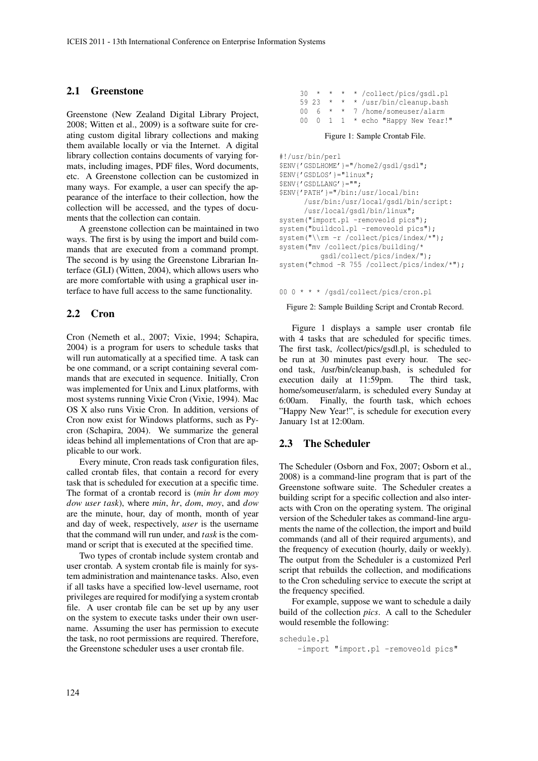### 2.1 Greenstone

Greenstone (New Zealand Digital Library Project, 2008; Witten et al., 2009) is a software suite for creating custom digital library collections and making them available locally or via the Internet. A digital library collection contains documents of varying formats, including images, PDF files, Word documents, etc. A Greenstone collection can be customized in many ways. For example, a user can specify the appearance of the interface to their collection, how the collection will be accessed, and the types of documents that the collection can contain.

A greenstone collection can be maintained in two ways. The first is by using the import and build commands that are executed from a command prompt. The second is by using the Greenstone Librarian Interface (GLI) (Witten, 2004), which allows users who are more comfortable with using a graphical user interface to have full access to the same functionality.

# 2.2 Cron

Cron (Nemeth et al., 2007; Vixie, 1994; Schapira, 2004) is a program for users to schedule tasks that will run automatically at a specified time. A task can be one command, or a script containing several commands that are executed in sequence. Initially, Cron was implemented for Unix and Linux platforms, with most systems running Vixie Cron (Vixie, 1994). Mac OS X also runs Vixie Cron. In addition, versions of Cron now exist for Windows platforms, such as Pycron (Schapira, 2004). We summarize the general ideas behind all implementations of Cron that are applicable to our work.

Every minute, Cron reads task configuration files, called crontab files, that contain a record for every task that is scheduled for execution at a specific time. The format of a crontab record is (*min hr dom moy dow user task*), where *min*, *hr*, *dom*, *moy*, and *dow* are the minute, hour, day of month, month of year and day of week, respectively, *user* is the username that the command will run under, and *task* is the command or script that is executed at the specified time.

Two types of crontab include system crontab and user crontab. A system crontab file is mainly for system administration and maintenance tasks. Also, even if all tasks have a specified low-level username, root privileges are required for modifying a system crontab file. A user crontab file can be set up by any user on the system to execute tasks under their own username. Assuming the user has permission to execute the task, no root permissions are required. Therefore, the Greenstone scheduler uses a user crontab file.

30 \* \* \* \* /collect/pics/gsdl.pl 59 23 \* \* \* /usr/bin/cleanup.bash<br>00 6 \* \* 7 /home/someuser/alarm \* \* 7 /home/someuser/alarm 00 0 1 1 \* echo "Happy New Year!"

#### Figure 1: Sample Crontab File.

```
#!/usr/bin/perl
$ENV{'GSDLHOME'}="/home2/gsdl/gsdl";
$ENV{'GSDLOS'}="linux";
$ENV{'GSDLLANG'}="";
$ENV{'PATH'}="/bin:/usr/local/bin:
     /usr/bin:/usr/local/gsdl/bin/script:
     /usr/local/gsdl/bin/linux";
system("import.pl -removeold pics");
system("buildcol.pl -removeold pics");
system("\\rm -r /collect/pics/index/*");
system("mv /collect/pics/building/*
         gsdl/collect/pics/index/");
system("chmod -R 755 /collect/pics/index/*");
```
00 0 \* \* \* /gsdl/collect/pics/cron.pl

Figure 2: Sample Building Script and Crontab Record.

Figure 1 displays a sample user crontab file with 4 tasks that are scheduled for specific times. The first task, /collect/pics/gsdl.pl, is scheduled to be run at 30 minutes past every hour. The second task, /usr/bin/cleanup.bash, is scheduled for execution daily at 11:59pm. The third task, home/someuser/alarm, is scheduled every Sunday at 6:00am. Finally, the fourth task, which echoes "Happy New Year!", is schedule for execution every January 1st at 12:00am.

#### 2.3 The Scheduler

The Scheduler (Osborn and Fox, 2007; Osborn et al., 2008) is a command-line program that is part of the Greenstone software suite. The Scheduler creates a building script for a specific collection and also interacts with Cron on the operating system. The original version of the Scheduler takes as command-line arguments the name of the collection, the import and build commands (and all of their required arguments), and the frequency of execution (hourly, daily or weekly). The output from the Scheduler is a customized Perl script that rebuilds the collection, and modifications to the Cron scheduling service to execute the script at the frequency specified.

For example, suppose we want to schedule a daily build of the collection *pics*. A call to the Scheduler would resemble the following:

```
schedule.pl
    -import "import.pl -removeold pics"
```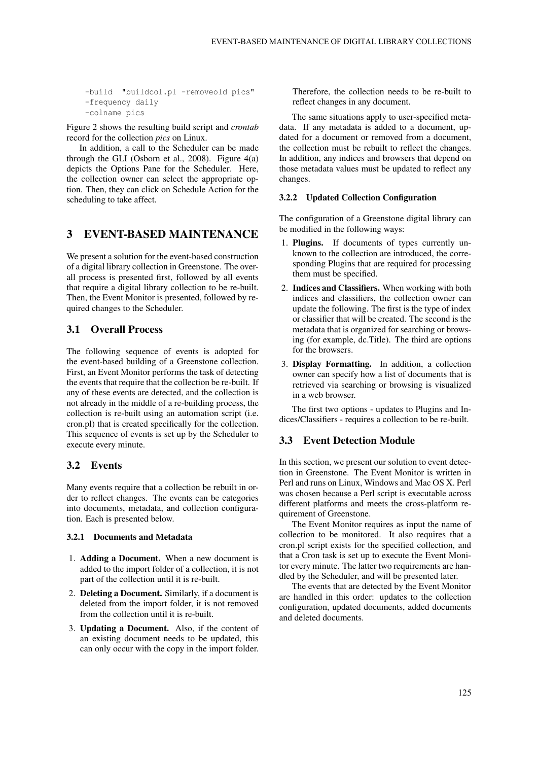-build "buildcol.pl -removeold pics" -frequency daily -colname pics

Figure 2 shows the resulting build script and *crontab* record for the collection *pics* on Linux.

In addition, a call to the Scheduler can be made through the GLI (Osborn et al., 2008). Figure  $4(a)$ depicts the Options Pane for the Scheduler. Here, the collection owner can select the appropriate option. Then, they can click on Schedule Action for the scheduling to take affect.

# 3 EVENT-BASED MAINTENANCE

We present a solution for the event-based construction of a digital library collection in Greenstone. The overall process is presented first, followed by all events that require a digital library collection to be re-built. Then, the Event Monitor is presented, followed by required changes to the Scheduler.

### 3.1 Overall Process

The following sequence of events is adopted for the event-based building of a Greenstone collection. First, an Event Monitor performs the task of detecting the events that require that the collection be re-built. If any of these events are detected, and the collection is not already in the middle of a re-building process, the collection is re-built using an automation script (i.e. cron.pl) that is created specifically for the collection. This sequence of events is set up by the Scheduler to execute every minute.

#### 3.2 Events

Many events require that a collection be rebuilt in order to reflect changes. The events can be categories into documents, metadata, and collection configuration. Each is presented below.

#### 3.2.1 Documents and Metadata

- 1. Adding a Document. When a new document is added to the import folder of a collection, it is not part of the collection until it is re-built.
- 2. Deleting a Document. Similarly, if a document is deleted from the import folder, it is not removed from the collection until it is re-built.
- 3. Updating a Document. Also, if the content of an existing document needs to be updated, this can only occur with the copy in the import folder.

Therefore, the collection needs to be re-built to reflect changes in any document.

The same situations apply to user-specified metadata. If any metadata is added to a document, updated for a document or removed from a document, the collection must be rebuilt to reflect the changes. In addition, any indices and browsers that depend on those metadata values must be updated to reflect any changes.

#### 3.2.2 Updated Collection Configuration

The configuration of a Greenstone digital library can be modified in the following ways:

- 1. Plugins. If documents of types currently unknown to the collection are introduced, the corresponding Plugins that are required for processing them must be specified.
- 2. Indices and Classifiers. When working with both indices and classifiers, the collection owner can update the following. The first is the type of index or classifier that will be created. The second is the metadata that is organized for searching or browsing (for example, dc.Title). The third are options for the browsers.
- 3. Display Formatting. In addition, a collection owner can specify how a list of documents that is retrieved via searching or browsing is visualized in a web browser.

The first two options - updates to Plugins and Indices/Classifiers - requires a collection to be re-built.

#### 3.3 Event Detection Module

In this section, we present our solution to event detection in Greenstone. The Event Monitor is written in Perl and runs on Linux, Windows and Mac OS X. Perl was chosen because a Perl script is executable across different platforms and meets the cross-platform requirement of Greenstone.

The Event Monitor requires as input the name of collection to be monitored. It also requires that a cron.pl script exists for the specified collection, and that a Cron task is set up to execute the Event Monitor every minute. The latter two requirements are handled by the Scheduler, and will be presented later.

The events that are detected by the Event Monitor are handled in this order: updates to the collection configuration, updated documents, added documents and deleted documents.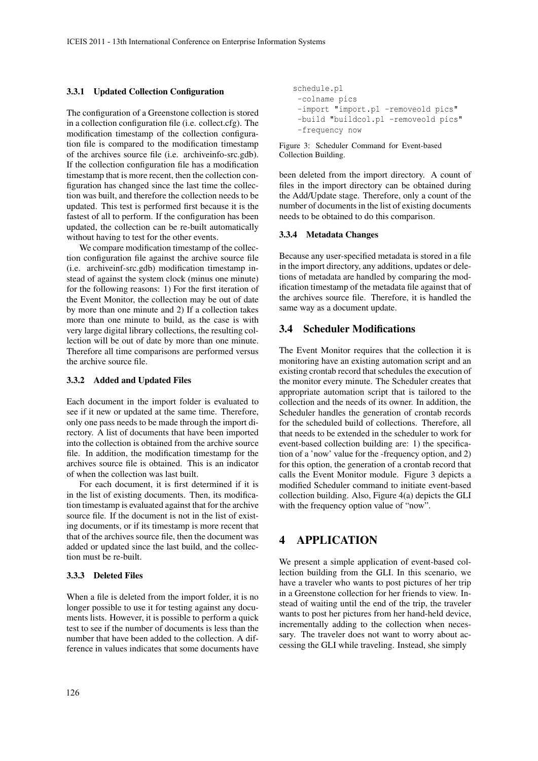#### 3.3.1 Updated Collection Configuration

The configuration of a Greenstone collection is stored in a collection configuration file (i.e. collect.cfg). The modification timestamp of the collection configuration file is compared to the modification timestamp of the archives source file (i.e. archiveinfo-src.gdb). If the collection configuration file has a modification timestamp that is more recent, then the collection configuration has changed since the last time the collection was built, and therefore the collection needs to be updated. This test is performed first because it is the fastest of all to perform. If the configuration has been updated, the collection can be re-built automatically without having to test for the other events.

We compare modification timestamp of the collection configuration file against the archive source file (i.e. archiveinf-src.gdb) modification timestamp instead of against the system clock (minus one minute) for the following reasons: 1) For the first iteration of the Event Monitor, the collection may be out of date by more than one minute and 2) If a collection takes more than one minute to build, as the case is with very large digital library collections, the resulting collection will be out of date by more than one minute. Therefore all time comparisons are performed versus the archive source file.

#### 3.3.2 Added and Updated Files

Each document in the import folder is evaluated to see if it new or updated at the same time. Therefore, only one pass needs to be made through the import directory. A list of documents that have been imported into the collection is obtained from the archive source file. In addition, the modification timestamp for the archives source file is obtained. This is an indicator of when the collection was last built.

For each document, it is first determined if it is in the list of existing documents. Then, its modification timestamp is evaluated against that for the archive source file. If the document is not in the list of existing documents, or if its timestamp is more recent that that of the archives source file, then the document was added or updated since the last build, and the collection must be re-built.

#### 3.3.3 Deleted Files

When a file is deleted from the import folder, it is no longer possible to use it for testing against any documents lists. However, it is possible to perform a quick test to see if the number of documents is less than the number that have been added to the collection. A difference in values indicates that some documents have

```
schedule.pl
-colname pics
 -import "import.pl -removeold pics"
 -build "buildcol.pl -removeold pics"
 -frequency now
```
Figure 3: Scheduler Command for Event-based Collection Building.

been deleted from the import directory. A count of files in the import directory can be obtained during the Add/Update stage. Therefore, only a count of the number of documents in the list of existing documents needs to be obtained to do this comparison.

#### 3.3.4 Metadata Changes

Because any user-specified metadata is stored in a file in the import directory, any additions, updates or deletions of metadata are handled by comparing the modification timestamp of the metadata file against that of the archives source file. Therefore, it is handled the same way as a document update.

### 3.4 Scheduler Modifications

The Event Monitor requires that the collection it is monitoring have an existing automation script and an existing crontab record that schedules the execution of the monitor every minute. The Scheduler creates that appropriate automation script that is tailored to the collection and the needs of its owner. In addition, the Scheduler handles the generation of crontab records for the scheduled build of collections. Therefore, all that needs to be extended in the scheduler to work for event-based collection building are: 1) the specification of a 'now' value for the -frequency option, and 2) for this option, the generation of a crontab record that calls the Event Monitor module. Figure 3 depicts a modified Scheduler command to initiate event-based collection building. Also, Figure 4(a) depicts the GLI with the frequency option value of "now".

# 4 APPLICATION

We present a simple application of event-based collection building from the GLI. In this scenario, we have a traveler who wants to post pictures of her trip in a Greenstone collection for her friends to view. Instead of waiting until the end of the trip, the traveler wants to post her pictures from her hand-held device, incrementally adding to the collection when necessary. The traveler does not want to worry about accessing the GLI while traveling. Instead, she simply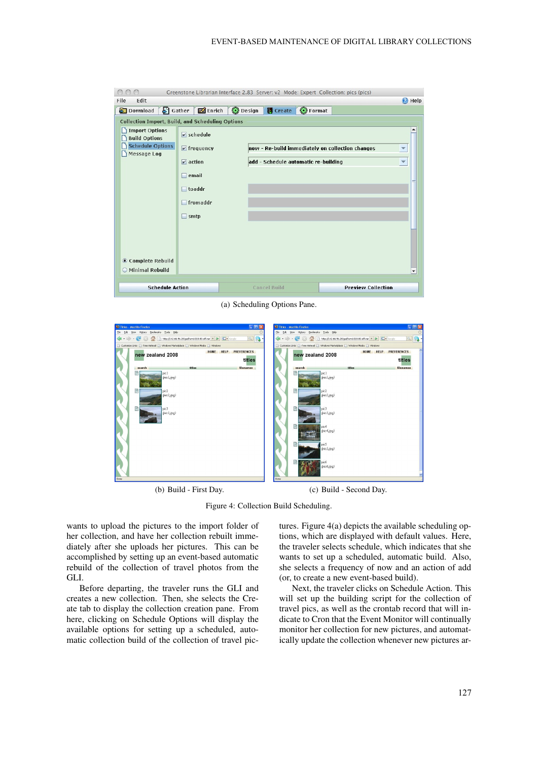|                                                                                                  |                           | Greenstone Librarian Interface 2.83 Server: v2 Mode: Expert Collection: pics (pics) |                          |
|--------------------------------------------------------------------------------------------------|---------------------------|-------------------------------------------------------------------------------------|--------------------------|
| Edit<br>File                                                                                     |                           |                                                                                     | @ Help                   |
| <b>B</b> Enrich<br>Design <b>B</b> Create<br><b>⊙</b> Format<br>$\mathcal{S}$ Gather<br>Download |                           |                                                                                     |                          |
| <b>Collection Import, Build, and Scheduling Options</b>                                          |                           |                                                                                     |                          |
| <b>Import Options</b><br><b>Build Options</b>                                                    | $\triangleright$ schedule |                                                                                     |                          |
| <b>Schedule Options</b><br>Message Log                                                           | $\triangledown$ frequency | now - Re-build immediately on collection changes                                    | $\blacktriangledown$     |
|                                                                                                  | $\triangleright$ action   | add - Schedule automatic re-building                                                | $\overline{\phantom{a}}$ |
|                                                                                                  | email                     |                                                                                     |                          |
|                                                                                                  | $\Box$ to addr            |                                                                                     |                          |
|                                                                                                  | fromaddr                  |                                                                                     |                          |
|                                                                                                  | $\Box$ smtp               |                                                                                     |                          |
|                                                                                                  |                           |                                                                                     |                          |
|                                                                                                  |                           |                                                                                     |                          |
| Complete Rebuild                                                                                 |                           |                                                                                     |                          |
| ◯ Minimal Rebuild                                                                                |                           |                                                                                     | ▼                        |
| <b>Schedule Action</b>                                                                           |                           | <b>Preview Collection</b><br><b>Cancel Build</b>                                    |                          |

(a) Scheduling Options Pane.

| FF<br><sup>5</sup> Titles - Mozilla Firefox                                                                          | $\Box$ ex<br><sup>U</sup> Titles - Mozilla Firefox                                                                                                                                        |  |  |
|----------------------------------------------------------------------------------------------------------------------|-------------------------------------------------------------------------------------------------------------------------------------------------------------------------------------------|--|--|
| Ele Edit Yew Higtory Bookmarks Tools Help                                                                            | Elle Edit View History Bookmarks Tools Help                                                                                                                                               |  |  |
| $Q$ R<br>Rep://142.66.56.24/gsdPe=d-010-00-off-ne v D C-                                                             | $Q$ $\mathbf{R}$<br>12                                                                                                                                                                    |  |  |
| Customize Links   Free Hotmail   Windows Marketplace   Windows Media   Windows                                       | Customize Links   Free Hotmail   Windows Marketplace   Windows Media   Windows                                                                                                            |  |  |
| HOME HELP<br><b>PREFERENCES</b><br>new zealand 2008<br>titles                                                        | HELP<br><b>PREFERENCES</b><br>HOME<br>new zealand 2008<br>titles                                                                                                                          |  |  |
| filenames<br>titles<br>search<br>pic1<br>(picl, ipg)<br>颱<br>pic2<br>(pic2, ipg)<br>R<br>pic3<br>(pic3, ipg)<br>Done | titles<br>filenames<br>search<br>pic1<br>(picl, ipg)<br>r<br>pic2<br>(pic2, ipg)<br>pic3<br>(pic3, ipg)<br>r<br>pic4<br>(pic4, ppg)<br>pic5<br>(pic5, ppg)<br>pic6<br>(pic6, ppg)<br>Done |  |  |
| (b) Build - First Day.                                                                                               | (c) Build - Second Day.                                                                                                                                                                   |  |  |



Figure 4: Collection Build Scheduling.

wants to upload the pictures to the import folder of her collection, and have her collection rebuilt immediately after she uploads her pictures. This can be accomplished by setting up an event-based automatic rebuild of the collection of travel photos from the GLI.

Before departing, the traveler runs the GLI and creates a new collection. Then, she selects the Create tab to display the collection creation pane. From here, clicking on Schedule Options will display the available options for setting up a scheduled, automatic collection build of the collection of travel pictures. Figure 4(a) depicts the available scheduling options, which are displayed with default values. Here, the traveler selects schedule, which indicates that she wants to set up a scheduled, automatic build. Also, she selects a frequency of now and an action of add (or, to create a new event-based build).

Next, the traveler clicks on Schedule Action. This will set up the building script for the collection of travel pics, as well as the crontab record that will indicate to Cron that the Event Monitor will continually monitor her collection for new pictures, and automatically update the collection whenever new pictures ar